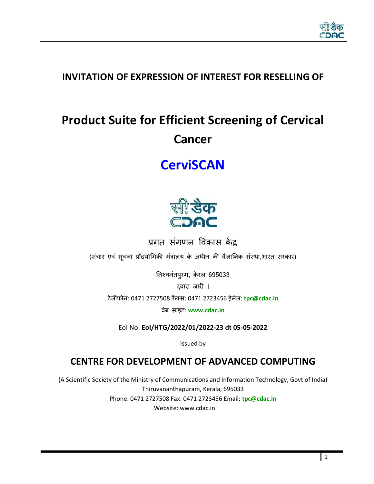

# **INVITATION OF EXPRESSION OF INTEREST FOR RESELLING OF**

# **Product Suite for Efficient Screening of Cervical Cancer**

# **CerviSCAN**



प्रगत संगणन विकास केंद्र

(संचार एवं सूचना प्रौद्योगिकी मंत्रालय के अधीन की वैज्ञानिक संस्था,भारत सरकार)

तिरुवनंतपुरम, केरल 695033

दवारा जारी ।

टेलीफोन: 0471 2727508 फै क्स: 0471 2723456 ईमेल: **[tpc@cdac.in](mailto:tpc@cdac.in)**

िेब साइट: **[www.cdac.in](http://www.cdac.in/)**

EoI No: **EoI/HTG/2022/01/2022-23 dt 05-05-2022**

Issued by

# **CENTRE FOR DEVELOPMENT OF ADVANCED COMPUTING**

(A Scientific Society of the Ministry of Communications and Information Technology, Govt of India) Thiruvananthapuram, Kerala, 695033 Phone: 0471 2727508 Fax: 0471 2723456 Email: **[tpc@cdac.in](mailto:tpc@cdac.in)** Website: www.cdac.in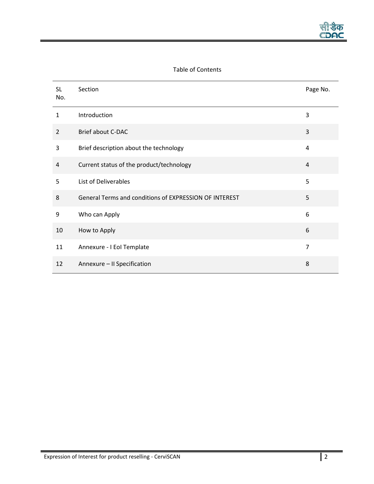# Table of Contents

| <b>SL</b><br>No. | Section                                                | Page No.       |
|------------------|--------------------------------------------------------|----------------|
| $\mathbf{1}$     | Introduction                                           | 3              |
| $\overline{2}$   | <b>Brief about C-DAC</b>                               | 3              |
| 3                | Brief description about the technology                 | 4              |
| 4                | Current status of the product/technology               | $\overline{4}$ |
| 5                | List of Deliverables                                   | 5              |
| 8                | General Terms and conditions of EXPRESSION OF INTEREST | 5              |
| 9                | Who can Apply                                          | 6              |
| 10               | How to Apply                                           | 6              |
| 11               | Annexure - I EoI Template                              | $\overline{7}$ |
| 12               | Annexure - II Specification                            | 8              |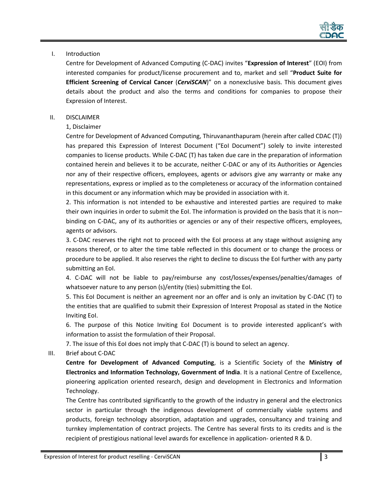

## <span id="page-2-0"></span>I. Introduction

Centre for Development of Advanced Computing (C-DAC) invites "**Expression of Interest**" (EOI) from interested companies for product/license procurement and to, market and sell "**Product Suite for Efficient Screening of Cervical Cancer** (*CerviSCAN*)" on a nonexclusive basis. This document gives details about the product and also the terms and conditions for companies to propose their Expression of Interest.

## <span id="page-2-1"></span>II. DISCLAIMER

## 1, Disclaimer

Centre for Development of Advanced Computing, Thiruvananthapuram (herein after called CDAC (T)) has prepared this Expression of Interest Document ("EoI Document") solely to invite interested companies to license products. While C-DAC (T) has taken due care in the preparation of information contained herein and believes it to be accurate, neither C-DAC or any of its Authorities or Agencies nor any of their respective officers, employees, agents or advisors give any warranty or make any representations, express or implied as to the completeness or accuracy of the information contained in this document or any information which may be provided in association with it.

2. This information is not intended to be exhaustive and interested parties are required to make their own inquiries in order to submit the EoI. The information is provided on the basis that it is nonbinding on C-DAC, any of its authorities or agencies or any of their respective officers, employees, agents or advisors.

3. C-DAC reserves the right not to proceed with the EoI process at any stage without assigning any reasons thereof, or to alter the time table reflected in this document or to change the process or procedure to be applied. It also reserves the right to decline to discuss the EoI further with any party submitting an EoI.

4. C-DAC will not be liable to pay/reimburse any cost/losses/expenses/penalties/damages of whatsoever nature to any person (s)/entity (ties) submitting the EoI.

5. This EoI Document is neither an agreement nor an offer and is only an invitation by C-DAC (T) to the entities that are qualified to submit their Expression of Interest Proposal as stated in the Notice Inviting EoI.

6. The purpose of this Notice Inviting EoI Document is to provide interested applicant's with information to assist the formulation of their Proposal.

7. The issue of this EoI does not imply that C-DAC (T) is bound to select an agency.

III. Brief about C-DAC

**[Centre for Development of Advanced Computing](http://www.cdac.in/)**, is a Scientific Society of the **[Ministry of](http://www.mit.gov.in/)  [Electronics and Information Technology, Government of India](http://www.mit.gov.in/)**. It is a national Centre of Excellence, pioneering application oriented research, design and development in Electronics and Information Technology.

The Centre has contributed significantly to the growth of the industry in general and the electronics sector in particular through the indigenous development of commercially viable systems and products, foreign technology absorption, adaptation and upgrades, consultancy and training and turnkey implementation of contract projects. The Centre has several firsts to its credits and is the recipient of prestigious national level awards for excellence in application- oriented R & D.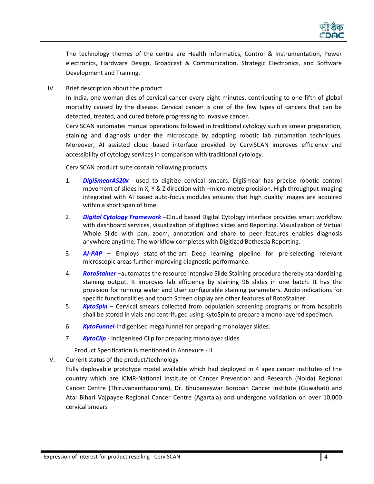

The technology themes of the centre are Health Informatics, Control & Instrumentation, Power electronics, Hardware Design, Broadcast & Communication, Strategic Electronics, and Software Development and Training.

IV. Brief description about the product

In India, one woman dies of cervical cancer every eight minutes, contributing to one fifth of global mortality caused by the disease. Cervical cancer is one of the few types of cancers that can be detected, treated, and cured before progressing to invasive cancer.

CerviSCAN automates manual operations followed in traditional cytology such as smear preparation, staining and diagnosis under the microscope by adopting robotic lab automation techniques. Moreover, AI assisted cloud based interface provided by CerviSCAN improves efficiency and accessibility of cytology services in comparison with traditional cytology.

CerviSCAN product suite contain following products

- 1. *DigiSmearAS20x -* used to digitize cervical smears. DigiSmear has precise robotic control movement of slides in X, Y & Z direction with –micro-metre precision. High throughput imaging integrated with AI based auto-focus modules ensures that high quality images are acquired within a short span of time.
- 2. *Digital Cytology Framework –*Cloud based Digital Cytology interface provides smart workflow with dashboard services, visualization of digitized slides and Reporting. Visualization of Virtual Whole Slide with pan, zoom, annotation and share to peer features enables diagnosis anywhere anytime. The workflow completes with Digitized Bethesda Reporting.
- 3. *AI-PAP* Employs state-of-the-art Deep learning pipeline for pre-selecting relevant microscopic areas further improving diagnostic performance.
- 4. *RotoStainer* –automates the resource intensive Slide Staining procedure thereby standardizing staining output. It improves lab efficiency by staining 96 slides in one batch. It has the provision for running water and User configurable staining parameters. Audio indications for specific functionalities and touch Screen display are other features of RotoStainer.
- 5. *KytoSpin*  Cervical smears collected from population screening programs or from hospitals shall be stored in vials and centrifuged using KytoSpin to prepare a mono-layered specimen.
- 6. *KytoFunnel-*Indigenised mega funnel for preparing monolayer slides.
- 7. *KytoClip* Indigenised Clip for preparing monolayer slides

Product Specification is mentioned in Annexure - II

<span id="page-3-0"></span>V. Current status of the product/technology

Fully deployable prototype model available which had deployed in 4 apex cancer institutes of the country which are ICMR-National Institute of Cancer Prevention and Research (Noida) Regional Cancer Centre (Thiruvananthapuram), Dr. Bhubaneswar Borooah Cancer Institute (Guwahati) and Atal Bihari Vajpayee Regional Cancer Centre (Agartala) and undergone validation on over 10,000 cervical smears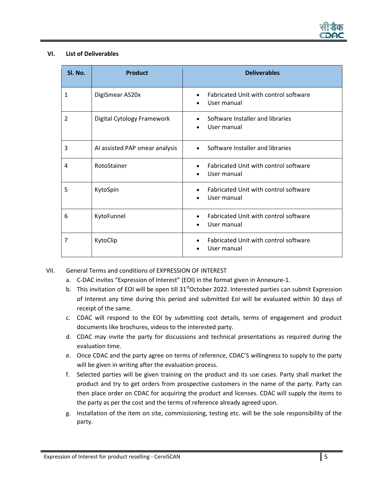

#### **VI. List of Deliverables**

| Sl. No.        | <b>Product</b>                 | <b>Deliverables</b>                                                            |  |
|----------------|--------------------------------|--------------------------------------------------------------------------------|--|
| 1              | DigiSmear AS20x                | Fabricated Unit with control software<br>$\bullet$<br>User manual<br>$\bullet$ |  |
| $\overline{2}$ | Digital Cytology Framework     | Software Installer and libraries<br>User manual                                |  |
| 3              | AI assisted PAP smear analysis | Software Installer and libraries<br>$\bullet$                                  |  |
| 4              | RotoStainer                    | Fabricated Unit with control software<br>$\bullet$<br>User manual<br>$\bullet$ |  |
| 5              | KytoSpin                       | Fabricated Unit with control software<br>$\bullet$<br>User manual              |  |
| 6              | KytoFunnel                     | Fabricated Unit with control software<br>User manual                           |  |
| 7              | KytoClip                       | Fabricated Unit with control software<br>User manual                           |  |

## VII. General Terms and conditions of EXPRESSION OF INTEREST

- a. C-DAC invites "Expression of Interest" (EOI) in the format given in Annexure-1.
- b. This invitation of EOI will be open till  $31<sup>st</sup>October 2022$ . Interested parties can submit Expression of Interest any time during this period and submitted EoI will be evaluated within 30 days of receipt of the same.
- c. CDAC will respond to the EOI by submitting cost details, terms of engagement and product documents like brochures, videos to the interested party.
- d. CDAC may invite the party for discussions and technical presentations as required during the evaluation time.
- e. Once CDAC and the party agree on terms of reference, CDAC'S willingness to supply to the party will be given in writing after the evaluation process.
- f. Selected parties will be given training on the product and its use cases. Party shall market the product and try to get orders from prospective customers in the name of the party. Party can then place order on CDAC for acquiring the product and licenses. CDAC will supply the items to the party as per the cost and the terms of reference already agreed upon.
- g. Installation of the item on site, commissioning, testing etc. will be the sole responsibility of the party.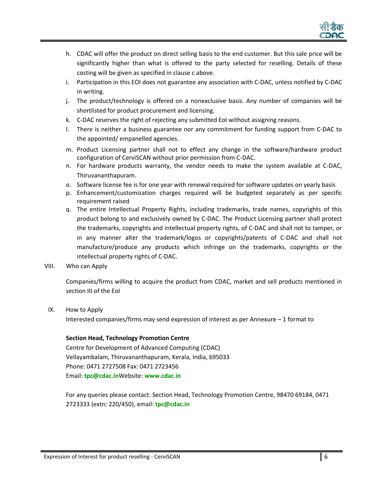

- h. CDAC will offer the product on direct selling basis to the end customer. But this sale price will be significantly higher than what is offered to the party selected for reselling. Details of these costing will be given as specified in clause c above.
- i. Participation in this EOI does not guarantee any association with C-DAC, unless notified by C-DAC in writing.
- j. The product/technology is offered on a nonexclusive basis. Any number of companies will be shortlisted for product procurement and licensing.
- k. C-DAC reserves the right of rejecting any submitted EoI without assigning reasons.
- l. There is neither a business guarantee nor any commitment for funding support from C-DAC to the appointed/ empanelled agencies.
- m. Product Licensing partner shall not to effect any change in the software/hardware product configuration of CerviSCAN without prior permission from C-DAC.
- n. For hardware products warranty, the vendor needs to make the system available at C-DAC, Thiruvananthapuram.
- o. Software license fee is for one year with renewal required for software updates on yearly basis
- p. Enhancement/customization charges required will be budgeted separately as per specific requirement raised
- q. The entire Intellectual Property Rights, including trademarks, trade names, copyrights of this product belong to and exclusively owned by C-DAC. The Product Licensing partner shall protect the trademarks, copyrights and intellectual property rights, of C-DAC and shall not to tamper, or in any manner alter the trademark/logos or copyrights/patents of C-DAC and shall not manufacture/produce any products which infringe on the trademarks, copyrights or the intellectual property rights of C-DAC.
- VIII. Who can Apply

Companies/firms willing to acquire the product from CDAC, market and sell products mentioned in section III of the EoI

IX. How to Apply

Interested companies/firms may send expression of interest as per Annexure – 1 format to

**Section Head, Technology Promotion Centre** Centre for Development of Advanced Computing (CDAC) Vellayambalam, Thiruvananthapuram, Kerala, India, 695033 Phone: 0471 2727508 Fax: 0471 2723456 Email: **[tpc@cdac.in](mailto:tpc@cdac.in)**Website: **[www.cdac.in](http://www.cdac.in/)**

For any queries please contact: Section Head, Technology Promotion Centre, 98470 69184, 0471 2723333 (extn: 220/450), email: **[tpc@cdac.in](mailto:tpc@cdac.in)**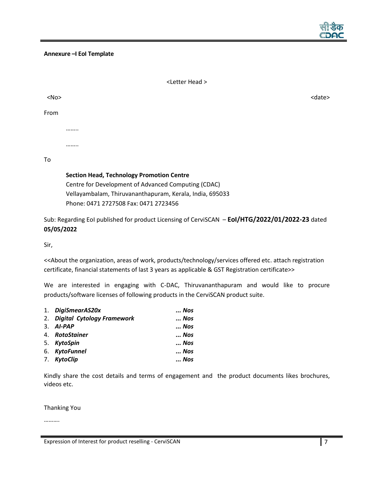

#### **Annexure –I EoI Template**

|            | <letter head=""></letter>                                                                                                                                                                                    |               |
|------------|--------------------------------------------------------------------------------------------------------------------------------------------------------------------------------------------------------------|---------------|
| $<$ No $>$ |                                                                                                                                                                                                              | <date></date> |
| From       |                                                                                                                                                                                                              |               |
|            |                                                                                                                                                                                                              |               |
|            |                                                                                                                                                                                                              |               |
| To         |                                                                                                                                                                                                              |               |
|            | <b>Section Head, Technology Promotion Centre</b><br>Centre for Development of Advanced Computing (CDAC)<br>Vellayambalam, Thiruvananthapuram, Kerala, India, 695033<br>Phone: 0471 2727508 Fax: 0471 2723456 |               |

Sub: Regarding EoI published for product Licensing of CerviSCAN – **EoI/HTG/2022/01/2022-23** dated **05/05/2022**

Sir,

<<About the organization, areas of work, products/technology/services offered etc. attach registration certificate, financial statements of last 3 years as applicable & GST Registration certificate>>

We are interested in engaging with C-DAC, Thiruvananthapuram and would like to procure products/software licenses of following products in the CerviSCAN product suite.

| 1. DigiSmearAS20x             | Nos |
|-------------------------------|-----|
| 2. Digital Cytology Framework | Nos |
| $3.$ AI-PAP                   | Nos |
| 4. RotoStainer                | Nos |
| 5. KytoSpin                   | Nos |
| 6. KytoFunnel                 | Nos |
| 7. KytoClip                   | Nos |

Kindly share the cost details and terms of engagement and the product documents likes brochures, videos etc.

Thanking You

……….